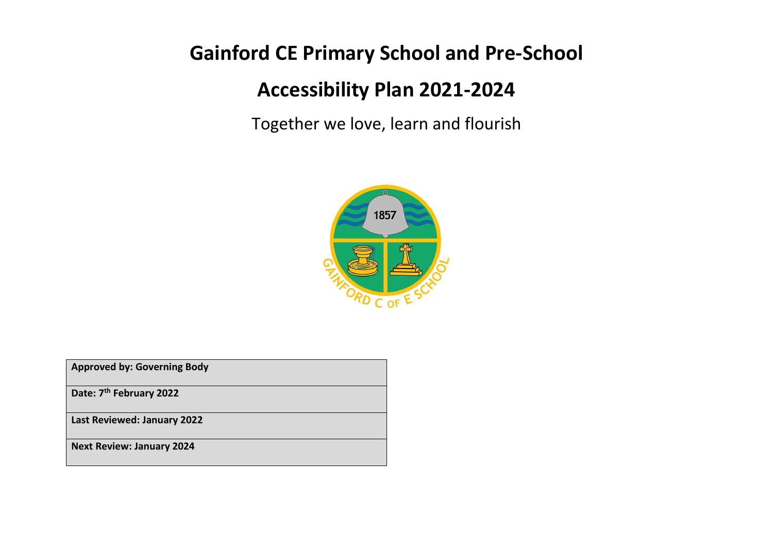# **Gainford CE Primary School and Pre-School**

# **Accessibility Plan 2021-2024**

Together we love, learn and flourish



| <b>Approved by: Governing Body</b>  |
|-------------------------------------|
| Date: 7 <sup>th</sup> February 2022 |
| Last Reviewed: January 2022         |
| <b>Next Review: January 2024</b>    |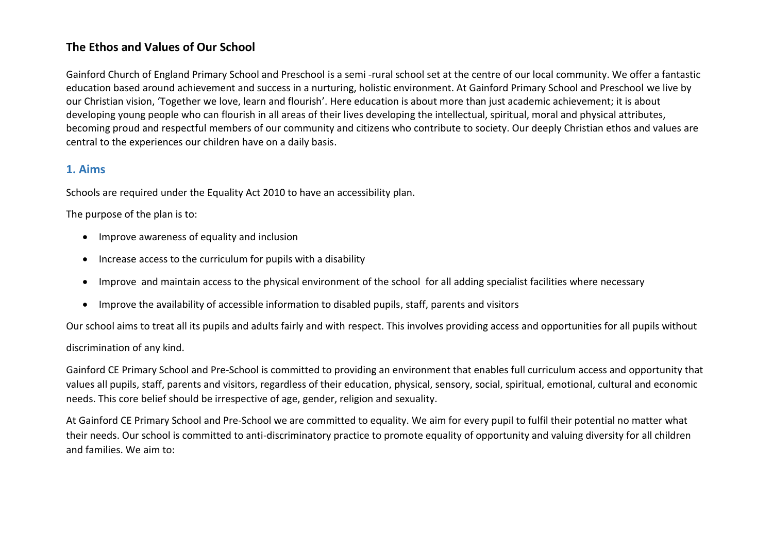# **The Ethos and Values of Our School**

Gainford Church of England Primary School and Preschool is a semi -rural school set at the centre of our local community. We offer a fantastic education based around achievement and success in a nurturing, holistic environment. At Gainford Primary School and Preschool we live by our Christian vision, 'Together we love, learn and flourish'. Here education is about more than just academic achievement; it is about developing young people who can flourish in all areas of their lives developing the intellectual, spiritual, moral and physical attributes, becoming proud and respectful members of our community and citizens who contribute to society. Our deeply Christian ethos and values are central to the experiences our children have on a daily basis.

# **1. Aims**

Schools are required under the Equality Act 2010 to have an accessibility plan.

The purpose of the plan is to:

- Improve awareness of equality and inclusion
- Increase access to the curriculum for pupils with a disability
- Improve and maintain access to the physical environment of the school for all adding specialist facilities where necessary
- Improve the availability of accessible information to disabled pupils, staff, parents and visitors

Our school aims to treat all its pupils and adults fairly and with respect. This involves providing access and opportunities for all pupils without

## discrimination of any kind.

Gainford CE Primary School and Pre-School is committed to providing an environment that enables full curriculum access and opportunity that values all pupils, staff, parents and visitors, regardless of their education, physical, sensory, social, spiritual, emotional, cultural and economic needs. This core belief should be irrespective of age, gender, religion and sexuality.

At Gainford CE Primary School and Pre-School we are committed to equality. We aim for every pupil to fulfil their potential no matter what their needs. Our school is committed to anti-discriminatory practice to promote equality of opportunity and valuing diversity for all children and families. We aim to: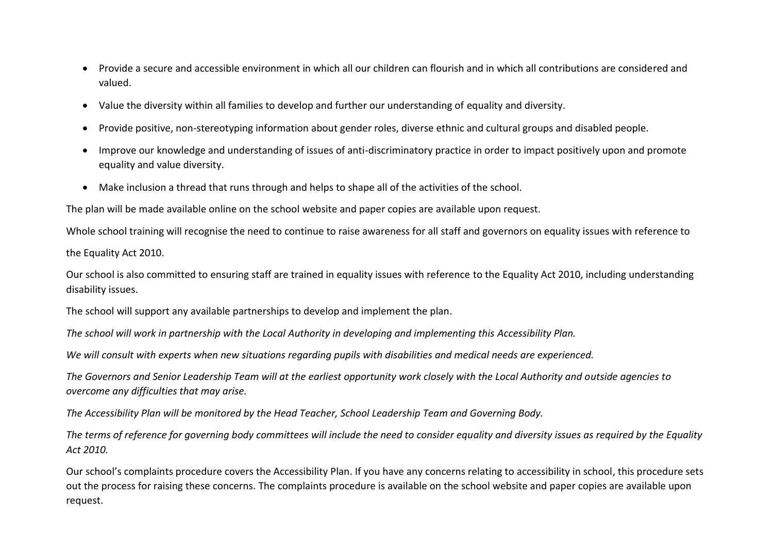- Provide a secure and accessible environment in which all our children can flourish and in which all contributions are considered and valued.
- Value the diversity within all families to develop and further our understanding of equality and diversity.
- Provide positive, non-stereotyping information about gender roles, diverse ethnic and cultural groups and disabled people.
- Improve our knowledge and understanding of issues of anti-discriminatory practice in order to impact positively upon and promote equality and value diversity.
- Make inclusion a thread that runs through and helps to shape all of the activities of the school.

The plan will be made available online on the school website and paper copies are available upon request.

Whole school training will recognise the need to continue to raise awareness for all staff and governors on equality issues with reference to the Equality Act 2010.

Our school is also committed to ensuring staff are trained in equality issues with reference to the Equality Act 2010, including understanding disability issues.

The school will support any available partnerships to develop and implement the plan.

*The school will work in partnership with the Local Authority in developing and implementing this Accessibility Plan.*

*We will consult with experts when new situations regarding pupils with disabilities and medical needs are experienced.*

*The Governors and Senior Leadership Team will at the earliest opportunity work closely with the Local Authority and outside agencies to overcome any difficulties that may arise.*

*The Accessibility Plan will be monitored by the Head Teacher, School Leadership Team and Governing Body.*

*The terms of reference for governing body committees will include the need to consider equality and diversity issues as required by the Equality Act 2010.*

Our school's complaints procedure covers the Accessibility Plan. If you have any concerns relating to accessibility in school, this procedure sets out the process for raising these concerns. The complaints procedure is available on the school website and paper copies are available upon request.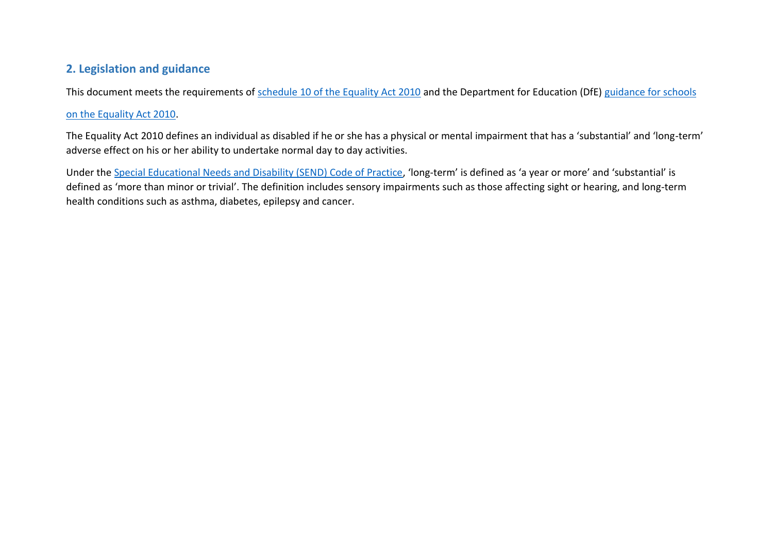# **2. Legislation and guidance**

This document meets the requirements of [schedule 10 of the Equality Act 2010](https://www.legislation.gov.uk/ukpga/2010/15/schedule/10) and the Department for Education (DfE) [guidance for schools](https://www.gov.uk/government/publications/equality-act-2010-advice-for-schools)

## [on the Equality Act 2010.](https://www.gov.uk/government/publications/equality-act-2010-advice-for-schools)

The Equality Act 2010 defines an individual as disabled if he or she has a physical or mental impairment that has a 'substantial' and 'long-term' adverse effect on his or her ability to undertake normal day to day activities.

Under the [Special Educational Needs and Disability \(SEND\) Code of Practice](https://www.gov.uk/government/publications/send-code-of-practice-0-to-25), 'long-term' is defined as 'a year or more' and 'substantial' is defined as 'more than minor or trivial'. The definition includes sensory impairments such as those affecting sight or hearing, and long-term health conditions such as asthma, diabetes, epilepsy and cancer.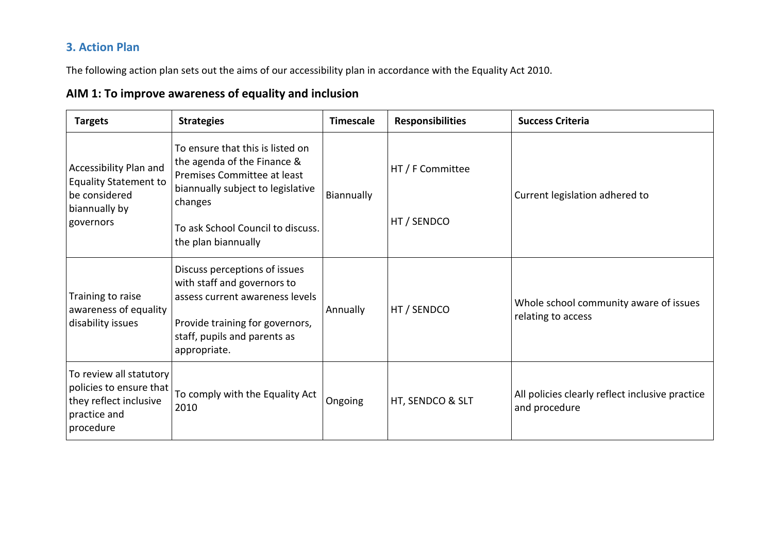# **3. Action Plan**

The following action plan sets out the aims of our accessibility plan in accordance with the Equality Act 2010.

# **AIM 1: To improve awareness of equality and inclusion**

| <b>Targets</b>                                                                                            | <b>Strategies</b>                                                                                                                                                                                          | <b>Timescale</b> | <b>Responsibilities</b>         | <b>Success Criteria</b>                                          |
|-----------------------------------------------------------------------------------------------------------|------------------------------------------------------------------------------------------------------------------------------------------------------------------------------------------------------------|------------------|---------------------------------|------------------------------------------------------------------|
| Accessibility Plan and<br><b>Equality Statement to</b><br>be considered<br>biannually by<br>governors     | To ensure that this is listed on<br>the agenda of the Finance &<br>Premises Committee at least<br>biannually subject to legislative<br>changes<br>To ask School Council to discuss.<br>the plan biannually | Biannually       | HT / F Committee<br>HT / SENDCO | Current legislation adhered to                                   |
| Training to raise<br>awareness of equality<br>disability issues                                           | Discuss perceptions of issues<br>with staff and governors to<br>assess current awareness levels<br>Provide training for governors,<br>staff, pupils and parents as<br>appropriate.                         | Annually         | HT / SENDCO                     | Whole school community aware of issues<br>relating to access     |
| To review all statutory<br>policies to ensure that<br>they reflect inclusive<br>practice and<br>procedure | To comply with the Equality Act<br>2010                                                                                                                                                                    | Ongoing          | HT, SENDCO & SLT                | All policies clearly reflect inclusive practice<br>and procedure |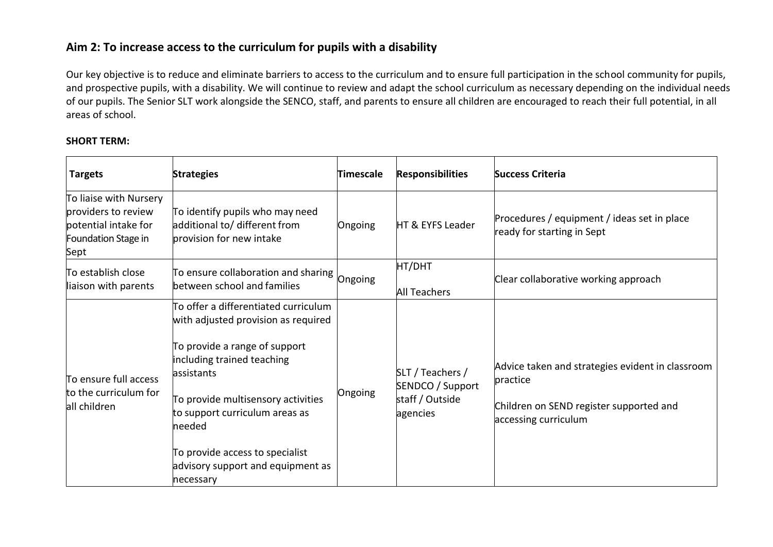# **Aim 2: To increase access to the curriculum for pupils with a disability**

Our key objective is to reduce and eliminate barriers to access to the curriculum and to ensure full participation in the school community for pupils, and prospective pupils, with a disability. We will continue to review and adapt the school curriculum as necessary depending on the individual needs of our pupils. The Senior SLT work alongside the SENCO, staff, and parents to ensure all children are encouraged to reach their full potential, in all areas of school.

#### **SHORT TERM:**

| <b>Targets</b>                                                                                       | <b>Strategies</b>                                                                                                                                                                                                                                                                                                                | Timescale | <b>Responsibilities</b>                                             | <b>Success Criteria</b>                                                                                                         |
|------------------------------------------------------------------------------------------------------|----------------------------------------------------------------------------------------------------------------------------------------------------------------------------------------------------------------------------------------------------------------------------------------------------------------------------------|-----------|---------------------------------------------------------------------|---------------------------------------------------------------------------------------------------------------------------------|
| To liaise with Nursery<br>providers to review<br>potential intake for<br>Foundation Stage in<br>Sept | To identify pupils who may need<br>additional to/ different from<br>provision for new intake                                                                                                                                                                                                                                     | Ongoing   | HT & EYFS Leader                                                    | Procedures / equipment / ideas set in place<br>ready for starting in Sept                                                       |
| To establish close<br>liaison with parents                                                           | $\left $ To ensure collaboration and sharing $\left $ Ongoing<br>between school and families                                                                                                                                                                                                                                     |           | HT/DHT<br><b>All Teachers</b>                                       | Clear collaborative working approach                                                                                            |
| To ensure full access<br>to the curriculum for<br>all children                                       | To offer a differentiated curriculum<br>with adjusted provision as required<br>To provide a range of support<br>including trained teaching<br>assistants<br>To provide multisensory activities<br>to support curriculum areas as<br>lneeded<br>To provide access to specialist<br>advisory support and equipment as<br>necessary | Ongoing   | SLT / Teachers /<br>SENDCO / Support<br>staff / Outside<br>agencies | Advice taken and strategies evident in classroom<br>practice<br>Children on SEND register supported and<br>accessing curriculum |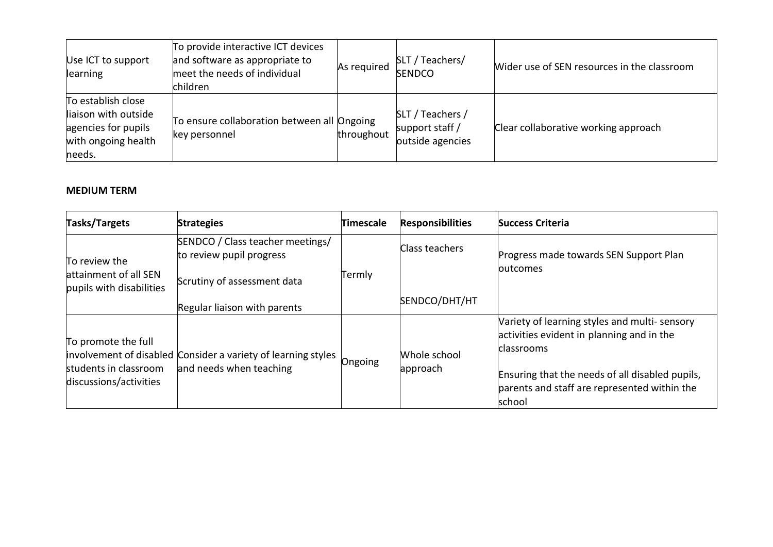| Use ICT to support<br>learning                                                                     | To provide interactive ICT devices<br>and software as appropriate to<br>meet the needs of individual<br>children | As required | SLT / Teachers/<br><b>SENDCO</b>                        | Wider use of SEN resources in the classroom |
|----------------------------------------------------------------------------------------------------|------------------------------------------------------------------------------------------------------------------|-------------|---------------------------------------------------------|---------------------------------------------|
| To establish close<br>liaison with outside<br>agencies for pupils<br>with ongoing health<br>needs. | To ensure collaboration between all Ongoing<br>key personnel                                                     | throughout  | SLT / Teachers /<br>support staff /<br>outside agencies | Clear collaborative working approach        |

## **MEDIUM TERM**

| Tasks/Targets                                                          | <b>Strategies</b>                                                                        | Timescale | <b>Responsibilities</b>  | <b>Success Criteria</b>                                                                                                                                                                                              |
|------------------------------------------------------------------------|------------------------------------------------------------------------------------------|-----------|--------------------------|----------------------------------------------------------------------------------------------------------------------------------------------------------------------------------------------------------------------|
| To review the                                                          | SENDCO / Class teacher meetings/<br>to review pupil progress                             |           | Class teachers           | Progress made towards SEN Support Plan<br><b>loutcomes</b>                                                                                                                                                           |
| attainment of all SEN<br>pupils with disabilities                      | Scrutiny of assessment data<br>Regular liaison with parents                              | Termly    | SENDCO/DHT/HT            |                                                                                                                                                                                                                      |
| To promote the full<br>students in classroom<br>discussions/activities | involvement of disabled Consider a variety of learning styles<br>and needs when teaching | Ongoing   | Whole school<br>approach | Variety of learning styles and multi-sensory<br>activities evident in planning and in the<br>classrooms<br>Ensuring that the needs of all disabled pupils,<br>parents and staff are represented within the<br>school |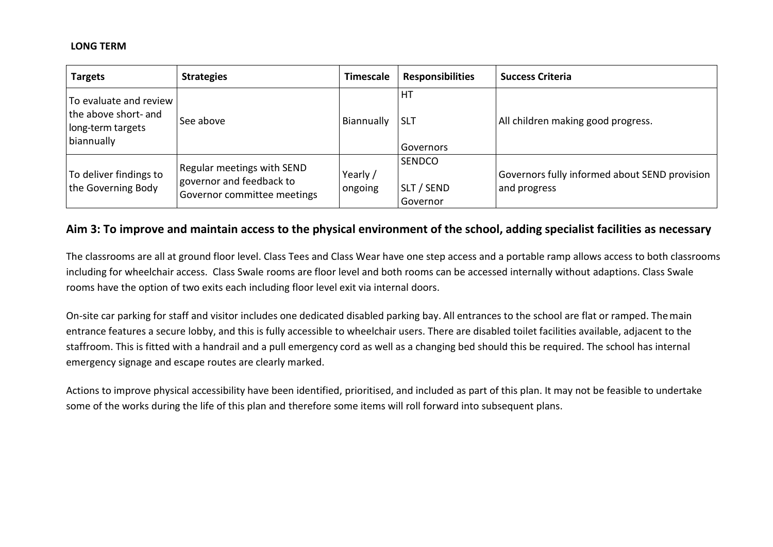#### **LONG TERM**

| <b>Targets</b>                                                                    | <b>Strategies</b>                                                                     | <b>Timescale</b>    | <b>Responsibilities</b>          | <b>Success Criteria</b>                                       |
|-----------------------------------------------------------------------------------|---------------------------------------------------------------------------------------|---------------------|----------------------------------|---------------------------------------------------------------|
| To evaluate and review<br>the above short- and<br>long-term targets<br>biannually | See above                                                                             | Biannually          | HT<br><b>SLT</b><br>Governors    | All children making good progress.                            |
| To deliver findings to<br>the Governing Body                                      | Regular meetings with SEND<br>governor and feedback to<br>Governor committee meetings | Yearly /<br>ongoing | SENDCO<br>SLT / SEND<br>Governor | Governors fully informed about SEND provision<br>and progress |

## **Aim 3: To improve and maintain access to the physical environment of the school, adding specialist facilities as necessary**

The classrooms are all at ground floor level. Class Tees and Class Wear have one step access and a portable ramp allows access to both classrooms including for wheelchair access. Class Swale rooms are floor level and both rooms can be accessed internally without adaptions. Class Swale rooms have the option of two exits each including floor level exit via internal doors.

On-site car parking for staff and visitor includes one dedicated disabled parking bay. All entrances to the school are flat or ramped. Themain entrance features a secure lobby, and this is fully accessible to wheelchair users. There are disabled toilet facilities available, adjacent to the staffroom. This is fitted with a handrail and a pull emergency cord as well as a changing bed should this be required. The school has internal emergency signage and escape routes are clearly marked.

Actions to improve physical accessibility have been identified, prioritised, and included as part of this plan. It may not be feasible to undertake some of the works during the life of this plan and therefore some items will roll forward into subsequent plans.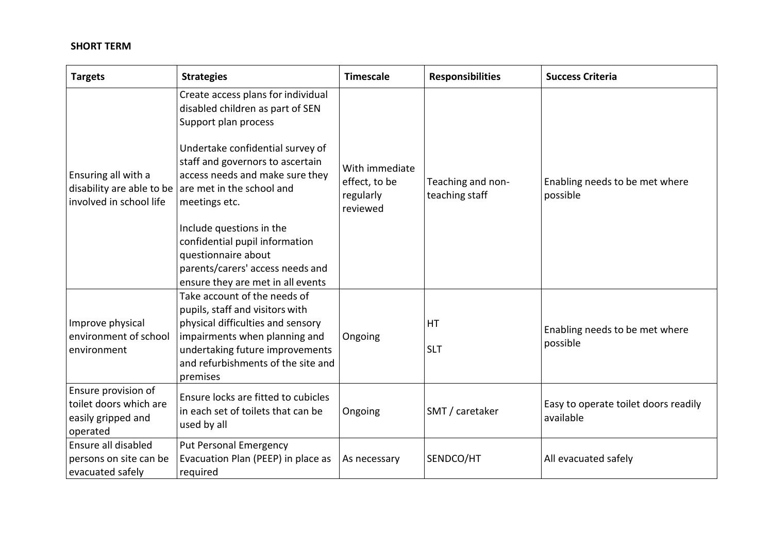## **SHORT TERM**

| <b>Targets</b>                                                                  | <b>Strategies</b>                                                                                                                                                                                                                                                    | <b>Timescale</b>                             | <b>Responsibilities</b>             | <b>Success Criteria</b>                           |
|---------------------------------------------------------------------------------|----------------------------------------------------------------------------------------------------------------------------------------------------------------------------------------------------------------------------------------------------------------------|----------------------------------------------|-------------------------------------|---------------------------------------------------|
| Ensuring all with a                                                             | Create access plans for individual<br>disabled children as part of SEN<br>Support plan process<br>Undertake confidential survey of<br>staff and governors to ascertain<br>access needs and make sure they<br>disability are able to be $ $ are met in the school and | With immediate<br>effect, to be<br>regularly | Teaching and non-<br>teaching staff | Enabling needs to be met where<br>possible        |
| involved in school life                                                         | meetings etc.<br>Include questions in the<br>confidential pupil information<br>questionnaire about<br>parents/carers' access needs and<br>ensure they are met in all events                                                                                          | reviewed                                     |                                     |                                                   |
| Improve physical<br>environment of school<br>environment                        | Take account of the needs of<br>pupils, staff and visitors with<br>physical difficulties and sensory<br>impairments when planning and<br>undertaking future improvements<br>and refurbishments of the site and<br>premises                                           | Ongoing                                      | HT<br><b>SLT</b>                    | Enabling needs to be met where<br>possible        |
| Ensure provision of<br>toilet doors which are<br>easily gripped and<br>operated | Ensure locks are fitted to cubicles<br>in each set of toilets that can be<br>used by all                                                                                                                                                                             | Ongoing                                      | SMT / caretaker                     | Easy to operate toilet doors readily<br>available |
| Ensure all disabled<br>persons on site can be<br>evacuated safely               | <b>Put Personal Emergency</b><br>Evacuation Plan (PEEP) in place as<br>required                                                                                                                                                                                      | As necessary                                 | SENDCO/HT                           | All evacuated safely                              |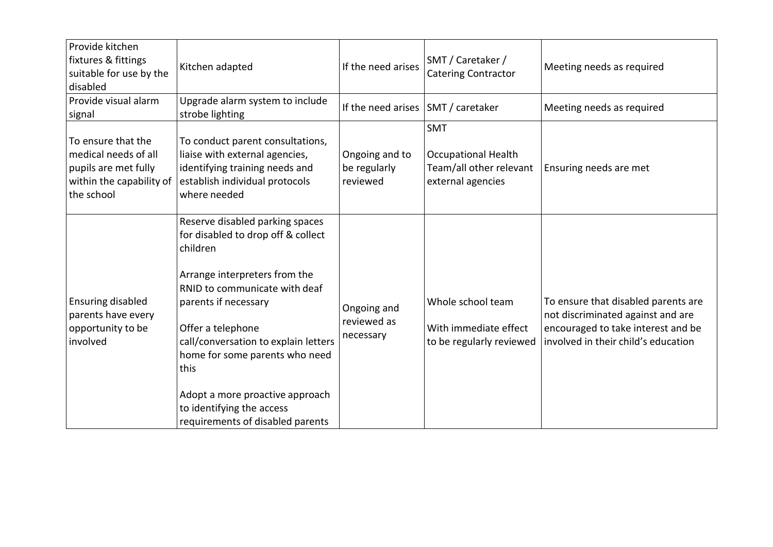| Provide kitchen<br>fixtures & fittings<br>suitable for use by the<br>disabled                                | Kitchen adapted                                                                                                                                                                                                                                                                                                                                                                        | If the need arises                         | SMT / Caretaker /<br><b>Catering Contractor</b>                                          | Meeting needs as required                                                                                                                             |
|--------------------------------------------------------------------------------------------------------------|----------------------------------------------------------------------------------------------------------------------------------------------------------------------------------------------------------------------------------------------------------------------------------------------------------------------------------------------------------------------------------------|--------------------------------------------|------------------------------------------------------------------------------------------|-------------------------------------------------------------------------------------------------------------------------------------------------------|
| Provide visual alarm<br>signal                                                                               | Upgrade alarm system to include<br>strobe lighting                                                                                                                                                                                                                                                                                                                                     | If the need arises                         | SMT / caretaker                                                                          | Meeting needs as required                                                                                                                             |
| To ensure that the<br>medical needs of all<br>pupils are met fully<br>within the capability of<br>the school | To conduct parent consultations,<br>liaise with external agencies,<br>identifying training needs and<br>establish individual protocols<br>where needed                                                                                                                                                                                                                                 | Ongoing and to<br>be regularly<br>reviewed | <b>SMT</b><br><b>Occupational Health</b><br>Team/all other relevant<br>external agencies | Ensuring needs are met                                                                                                                                |
| <b>Ensuring disabled</b><br>parents have every<br>opportunity to be<br>involved                              | Reserve disabled parking spaces<br>for disabled to drop off & collect<br>children<br>Arrange interpreters from the<br>RNID to communicate with deaf<br>parents if necessary<br>Offer a telephone<br>call/conversation to explain letters<br>home for some parents who need<br>this<br>Adopt a more proactive approach<br>to identifying the access<br>requirements of disabled parents | Ongoing and<br>reviewed as<br>necessary    | Whole school team<br>With immediate effect<br>to be regularly reviewed                   | To ensure that disabled parents are<br>not discriminated against and are<br>encouraged to take interest and be<br>involved in their child's education |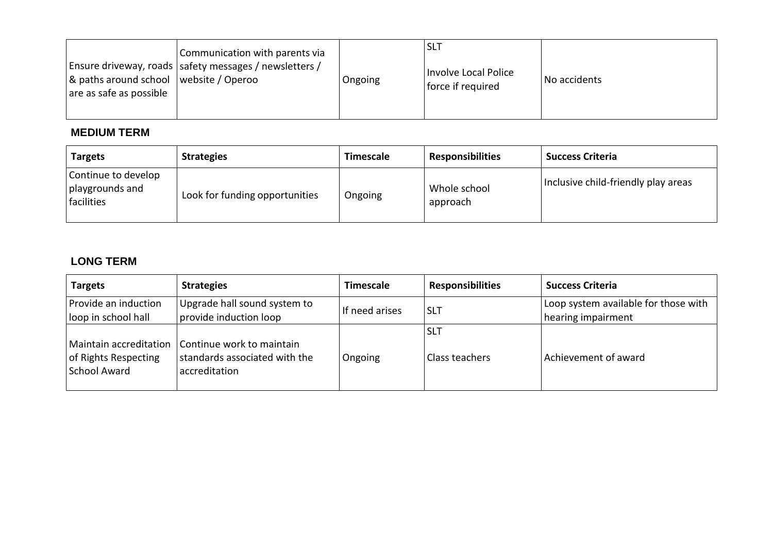| Communication with parents via<br>  Ensure driveway, roads   safety messages / newsletters /<br>$\alpha$ paths around school website / Operoo<br>are as safe as possible | Ongoing | <b>SLT</b><br>Involve Local Police<br>force if required | No accidents |
|--------------------------------------------------------------------------------------------------------------------------------------------------------------------------|---------|---------------------------------------------------------|--------------|
|--------------------------------------------------------------------------------------------------------------------------------------------------------------------------|---------|---------------------------------------------------------|--------------|

# **MEDIUM TERM**

| <b>Targets</b>                                         | <b>Strategies</b>              | <b>Timescale</b> | <b>Responsibilities</b>  | <b>Success Criteria</b>             |
|--------------------------------------------------------|--------------------------------|------------------|--------------------------|-------------------------------------|
| Continue to develop<br>  playgrounds and<br>facilities | Look for funding opportunities | Ongoing          | Whole school<br>approach | Inclusive child-friendly play areas |

# **LONG TERM**

| <b>Targets</b>                                                        | <b>Strategies</b>                                                           | <b>Timescale</b> | <b>Responsibilities</b>             | <b>Success Criteria</b>                                    |
|-----------------------------------------------------------------------|-----------------------------------------------------------------------------|------------------|-------------------------------------|------------------------------------------------------------|
| Provide an induction<br>loop in school hall                           | Upgrade hall sound system to<br>provide induction loop                      | If need arises   | <b>SLT</b>                          | Loop system available for those with<br>hearing impairment |
| Maintain accreditation<br>of Rights Respecting<br><b>School Award</b> | Continue work to maintain<br>standards associated with the<br>accreditation | Ongoing          | <b>SLT</b><br><b>Class teachers</b> | Achievement of award                                       |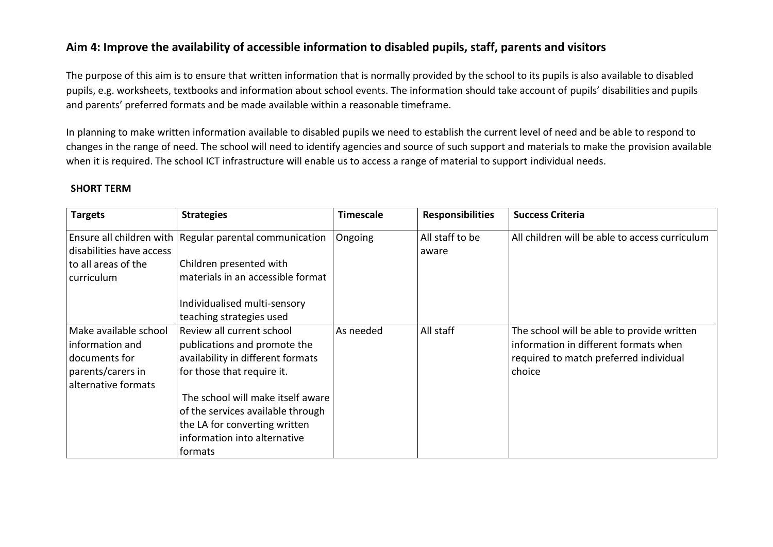# **Aim 4: Improve the availability of accessible information to disabled pupils, staff, parents and visitors**

The purpose of this aim is to ensure that written information that is normally provided by the school to its pupils is also available to disabled pupils, e.g. worksheets, textbooks and information about school events. The information should take account of pupils' disabilities and pupils and parents' preferred formats and be made available within a reasonable timeframe.

In planning to make written information available to disabled pupils we need to establish the current level of need and be able to respond to changes in the range of need. The school will need to identify agencies and source of such support and materials to make the provision available when it is required. The school ICT infrastructure will enable us to access a range of material to support individual needs.

### **SHORT TERM**

| <b>Targets</b>           | <b>Strategies</b>                                       | <b>Timescale</b> | <b>Responsibilities</b> | <b>Success Criteria</b>                        |
|--------------------------|---------------------------------------------------------|------------------|-------------------------|------------------------------------------------|
|                          | Ensure all children with Regular parental communication | Ongoing          | All staff to be         | All children will be able to access curriculum |
| disabilities have access |                                                         |                  | aware                   |                                                |
| to all areas of the      | Children presented with                                 |                  |                         |                                                |
| curriculum               | materials in an accessible format                       |                  |                         |                                                |
|                          |                                                         |                  |                         |                                                |
|                          | Individualised multi-sensory                            |                  |                         |                                                |
|                          | teaching strategies used                                |                  |                         |                                                |
| Make available school    | Review all current school                               | As needed        | All staff               | The school will be able to provide written     |
| information and          | publications and promote the                            |                  |                         | information in different formats when          |
| documents for            | availability in different formats                       |                  |                         | required to match preferred individual         |
| parents/carers in        | for those that require it.                              |                  |                         | choice                                         |
| alternative formats      |                                                         |                  |                         |                                                |
|                          | The school will make itself aware                       |                  |                         |                                                |
|                          | of the services available through                       |                  |                         |                                                |
|                          | the LA for converting written                           |                  |                         |                                                |
|                          | information into alternative                            |                  |                         |                                                |
|                          | formats                                                 |                  |                         |                                                |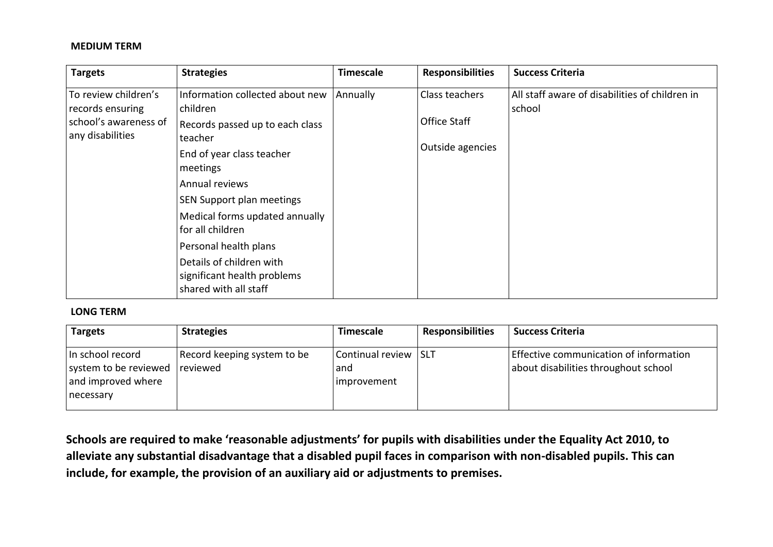#### **MEDIUM TERM**

| <b>Targets</b>                                                | <b>Strategies</b>                                                                | <b>Timescale</b> | <b>Responsibilities</b>          | <b>Success Criteria</b>                                  |
|---------------------------------------------------------------|----------------------------------------------------------------------------------|------------------|----------------------------------|----------------------------------------------------------|
| To review children's                                          | Information collected about new<br>children                                      | Annually         | Class teachers                   | All staff aware of disabilities of children in<br>school |
| records ensuring<br>school's awareness of<br>any disabilities | Records passed up to each class<br>teacher                                       |                  | Office Staff<br>Outside agencies |                                                          |
|                                                               | End of year class teacher<br>meetings                                            |                  |                                  |                                                          |
|                                                               | Annual reviews                                                                   |                  |                                  |                                                          |
|                                                               | SEN Support plan meetings                                                        |                  |                                  |                                                          |
|                                                               | Medical forms updated annually<br>for all children                               |                  |                                  |                                                          |
|                                                               | Personal health plans                                                            |                  |                                  |                                                          |
|                                                               | Details of children with<br>significant health problems<br>shared with all staff |                  |                                  |                                                          |

#### **LONG TERM**

| <b>Targets</b>                                                                 | <b>Strategies</b>                       | <b>Timescale</b>                        | <b>Responsibilities</b> | <b>Success Criteria</b>                                                        |
|--------------------------------------------------------------------------------|-----------------------------------------|-----------------------------------------|-------------------------|--------------------------------------------------------------------------------|
| In school record<br>system to be reviewed<br>and improved where<br>  necessary | Record keeping system to be<br>reviewed | Continual review<br>and<br> improvement | <b>SLT</b>              | Effective communication of information<br>about disabilities throughout school |

**Schools are required to make 'reasonable adjustments' for pupils with disabilities under the Equality Act 2010, to alleviate any substantial disadvantage that a disabled pupil faces in comparison with non-disabled pupils. This can include, for example, the provision of an auxiliary aid or adjustments to premises.**